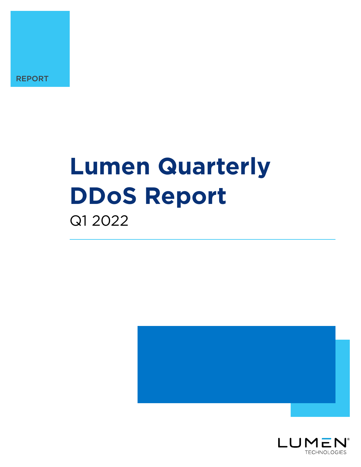

# **Lumen Quarterly DDoS Report** Q1 2022



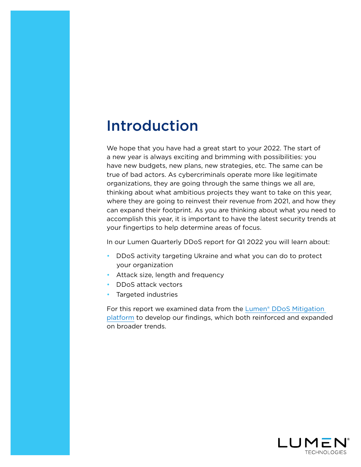### Introduction

We hope that you have had a great start to your 2022. The start of a new year is always exciting and brimming with possibilities: you have new budgets, new plans, new strategies, etc. The same can be true of bad actors. As cybercriminals operate more like legitimate organizations, they are going through the same things we all are, thinking about what ambitious projects they want to take on this year, where they are going to reinvest their revenue from 2021, and how they can expand their footprint. As you are thinking about what you need to accomplish this year, it is important to have the latest security trends at your fingertips to help determine areas of focus.

In our Lumen Quarterly DDoS report for Q1 2022 you will learn about:

- DDoS activity targeting Ukraine and what you can do to protect your organization
- Attack size, length and frequency
- DDoS attack vectors
- Targeted industries

For this report we examined data from the [Lumen® DDoS Mitigation](https://www.lumen.com/en-us/security/ddos-and-web-application.html?utm_source=ddos+report&utm_medium=q3)  [platform](https://www.lumen.com/en-us/security/ddos-and-web-application.html?utm_source=ddos+report&utm_medium=q3) to develop our findings, which both reinforced and expanded on broader trends.

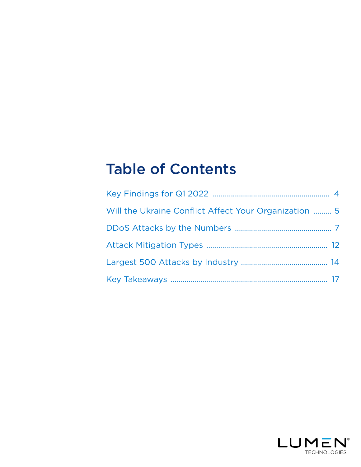## Table of Contents

| Will the Ukraine Conflict Affect Your Organization  5 |  |
|-------------------------------------------------------|--|
|                                                       |  |
|                                                       |  |
|                                                       |  |
|                                                       |  |

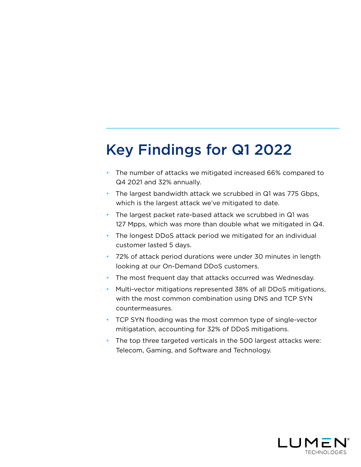# <span id="page-3-0"></span>Key Findings for Q1 2022

- The number of attacks we mitigated increased 66% compared to Q4 2021 and 32% annually.
- The largest bandwidth attack we scrubbed in Q1 was 775 Gbps, which is the largest attack we've mitigated to date.
- The largest packet rate-based attack we scrubbed in Q1 was 127 Mpps, which was more than double what we mitigated in Q4.
- The longest DDoS attack period we mitigated for an individual customer lasted 5 days.
- 72% of attack period durations were under 30 minutes in length looking at our On-Demand DDoS customers.
- The most frequent day that attacks occurred was Wednesday.
- Multi-vector mitigations represented 38% of all DDoS mitigations, with the most common combination using DNS and TCP SYN countermeasures.
- TCP SYN flooding was the most common type of single-vector mitigatation, accounting for 32% of DDoS mitigations.
- The top three targeted verticals in the 500 largest attacks were: Telecom, Gaming, and Software and Technology.

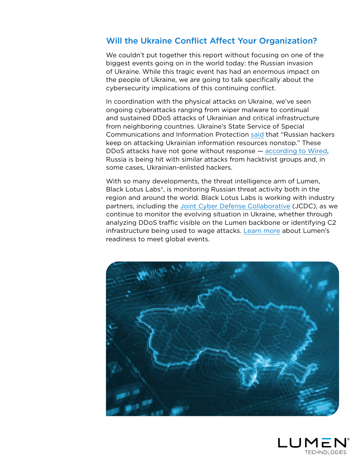#### <span id="page-4-0"></span>Will the Ukraine Conflict Affect Your Organization?

We couldn't put together this report without focusing on one of the biggest events going on in the world today: the Russian invasion of Ukraine. While this tragic event has had an enormous impact on the people of Ukraine, we are going to talk specifically about the cybersecurity implications of this continuing conflict.

In coordination with the physical attacks on Ukraine, we've seen ongoing cyberattacks ranging from wiper malware to continual and sustained DDoS attacks of Ukrainian and critical infrastructure from neighboring countries. Ukraine's State Service of Special Communications and Information Protection [said](https://www.reuters.com/world/europe/ukrainian-websites-under-nonstop-attack-cyber-watchdog-agency-2022-03-05/) that "Russian hackers keep on attacking Ukrainian information resources nonstop." These DDoS attacks have not gone without response — [according to Wired,](https://www.wired.com/story/russia-ukraine-ddos-nft-nsa-security-news/) Russia is being hit with similar attacks from hacktivist groups and, in some cases, Ukrainian-enlisted hackers.

With so many developments, the threat intelligence arm of Lumen, Black Lotus Labs®, is monitoring Russian threat activity both in the region and around the world. Black Lotus Labs is working with industry partners, including the [Joint Cyber Defense Collaborative](https://www.cisa.gov/news/2021/08/05/cisa-launches-new-joint-cyber-defense-collaborative) (JCDC), as we continue to monitor the evolving situation in Ukraine, whether through analyzing DDoS traffic visible on the Lumen backbone or identifying C2 infrastructure being used to wage attacks. [Learn more](https://news.lumen.com/RussiaUkraine) about Lumen's readiness to meet global events.



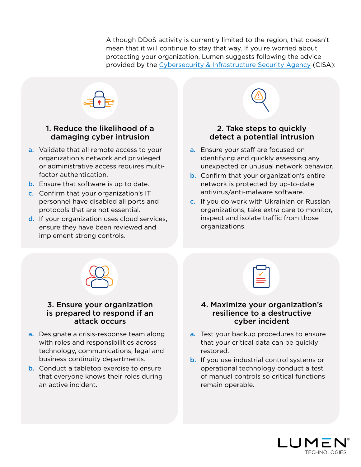Although DDoS activity is currently limited to the region, that doesn't mean that it will continue to stay that way. If you're worried about protecting your organization, Lumen suggests following the advice provided by the [Cybersecurity & Infrastructure Security Agency](https://www.cisa.gov/sites/default/files/publications/CISA_Insights-Implement_Cybersecurity_Measures_Now_to_Protect_Against_Critical_Threats_508C.pdf) (CISA):



#### 1. Reduce the likelihood of a damaging cyber intrusion

- a. Validate that all remote access to your organization's network and privileged or administrative access requires multifactor authentication.
- b. Ensure that software is up to date.
- c. Confirm that your organization's IT personnel have disabled all ports and protocols that are not essential.
- d. If your organization uses cloud services, ensure they have been reviewed and implement strong controls.



- a. Ensure your staff are focused on identifying and quickly assessing any unexpected or unusual network behavior.
- **b.** Confirm that your organization's entire network is protected by up-to-date antivirus/anti-malware software.
- c. If you do work with Ukrainian or Russian organizations, take extra care to monitor, inspect and isolate traffic from those organizations.



#### 3. Ensure your organization is prepared to respond if an attack occurs

- a. Designate a crisis-response team along with roles and responsibilities across technology, communications, legal and business continuity departments.
- **b.** Conduct a tabletop exercise to ensure that everyone knows their roles during an active incident.

| _ |  |
|---|--|
|   |  |

#### 4. Maximize your organization's resilience to a destructive cyber incident

- a. Test your backup procedures to ensure that your critical data can be quickly restored.
- b. If you use industrial control systems or operational technology conduct a test of manual controls so critical functions remain operable.

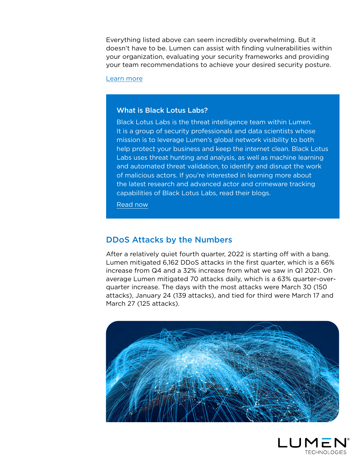Everything listed above can seem incredibly overwhelming. But it doesn't have to be. Lumen can assist with finding vulnerabilities within your organization, evaluating your security frameworks and providing your team recommendations to achieve your desired security posture.

[Learn more](https://www.lumen.com/en-us/explore/security-assessment.html?utm_audience=nae&utm_source=marketo&utm_medium=msc&utm_campaign=security_assessment_nae&utm_term=security&utm_content=security_assessment_web_form&utm_segment=nae)

#### What is Black Lotus Labs?

Black Lotus Labs is the threat intelligence team within Lumen. It is a group of security professionals and data scientists whose mission is to leverage Lumen's global network visibility to both help protect your business and keep the internet clean. Black Lotus Labs uses threat hunting and analysis, as well as machine learning and automated threat validation, to identify and disrupt the work of malicious actors. If you're interested in learning more about the latest research and advanced actor and crimeware tracking capabilities of Black Lotus Labs, read their blogs.

[Read now](https://blog.lumen.com/black-lotus-labs?utm_source=ddos+report&utm_medium=referral&utm_campaign=q1+2022)

#### <span id="page-6-0"></span>DDoS Attacks by the Numbers

After a relatively quiet fourth quarter, 2022 is starting off with a bang. Lumen mitigated 6,162 DDoS attacks in the first quarter, which is a 66% increase from Q4 and a 32% increase from what we saw in Q1 2021. On average Lumen mitigated 70 attacks daily, which is a 63% quarter-overquarter increase. The days with the most attacks were March 30 (150 attacks), January 24 (139 attacks), and tied for third were March 17 and March 27 (125 attacks).



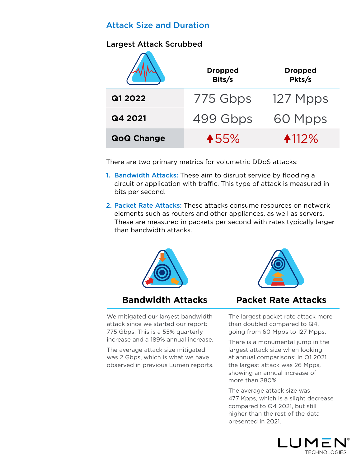#### Attack Size and Duration

#### Largest Attack Scrubbed

|                   | <b>Dropped</b><br>Bits/s | <b>Dropped</b><br>Pkts/s |
|-------------------|--------------------------|--------------------------|
| Q1 2022           | 775 Gbps                 | 127 Mpps                 |
| Q4 2021           | 499 Gbps                 | 60 Mpps                  |
| <b>QoQ Change</b> | 455%                     | 4112%                    |

There are two primary metrics for volumetric DDoS attacks:

- 1. Bandwidth Attacks: These aim to disrupt service by flooding a circuit or application with traffic. This type of attack is measured in bits per second.
- 2. Packet Rate Attacks: These attacks consume resources on network elements such as routers and other appliances, as well as servers. These are measured in packets per second with rates typically larger than bandwidth attacks.



We mitigated our largest bandwidth attack since we started our report: 775 Gbps. This is a 55% quarterly increase and a 189% annual increase.

The average attack size mitigated was 2 Gbps, which is what we have observed in previous Lumen reports.



### **Bandwidth Attacks Packet Rate Attacks**

The largest packet rate attack more than doubled compared to Q4, going from 60 Mpps to 127 Mpps.

There is a monumental jump in the largest attack size when looking at annual comparisons: in Q1 2021 the largest attack was 26 Mpps, showing an annual increase of more than 380%.

The average attack size was 477 Kpps, which is a slight decrease compared to Q4 2021, but still higher than the rest of the data presented in 2021.

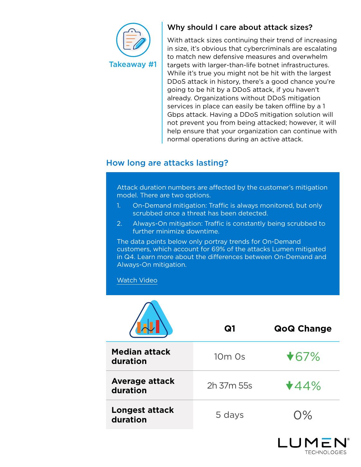

#### Why should I care about attack sizes?

With attack sizes continuing their trend of increasing in size, it's obvious that cybercriminals are escalating to match new defensive measures and overwhelm targets with larger-than-life botnet infrastructures. While it's true you might not be hit with the largest DDoS attack in history, there's a good chance you're going to be hit by a DDoS attack, if you haven't already. Organizations without DDoS mitigation services in place can easily be taken offline by a 1 Gbps attack. Having a DDoS mitigation solution will not prevent you from being attacked; however, it will help ensure that your organization can continue with normal operations during an active attack.

#### How long are attacks lasting?

Attack duration numbers are affected by the customer's mitigation model. There are two options.

- 1. On-Demand mitigation: Traffic is always monitored, but only scrubbed once a threat has been detected.
- 2. Always-On mitigation: Traffic is constantly being scrubbed to further minimize downtime.

The data points below only portray trends for On-Demand customers, which account for 69% of the attacks Lumen mitigated in Q4. Learn more about the differences between On-Demand and Always-On mitigation.

#### [Watch Video](https://players.brightcove.net/1186058296001/ObIoHMsRd_default/index.html?videoId=6258277069001)

|                                   | Q1                             | <b>QoQ Change</b>                   |
|-----------------------------------|--------------------------------|-------------------------------------|
| <b>Median attack</b><br>duration  | 10 <sub>m</sub> 0 <sub>s</sub> | $\star$ 67%                         |
| <b>Average attack</b><br>duration | 2h 37m 55s                     | $\star$ 44%                         |
| <b>Longest attack</b><br>duration | 5 days                         | $\bigcap\,mathcal{O}_{\mathcal{C}}$ |

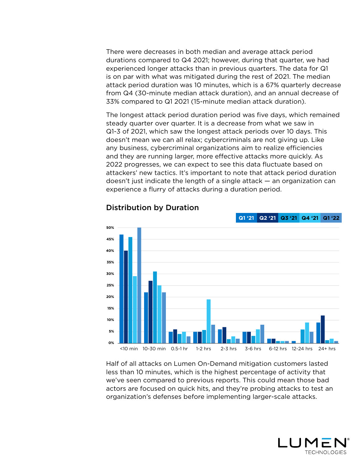There were decreases in both median and average attack period durations compared to Q4 2021; however, during that quarter, we had experienced longer attacks than in previous quarters. The data for Q1 is on par with what was mitigated during the rest of 2021. The median attack period duration was 10 minutes, which is a 67% quarterly decrease from Q4 (30-minute median attack duration), and an annual decrease of 33% compared to Q1 2021 (15-minute median attack duration).

The longest attack period duration period was five days, which remained steady quarter over quarter. It is a decrease from what we saw in Q1-3 of 2021, which saw the longest attack periods over 10 days. This doesn't mean we can all relax; cybercriminals are not giving up. Like any business, cybercriminal organizations aim to realize efficiencies and they are running larger, more effective attacks more quickly. As 2022 progresses, we can expect to see this data fluctuate based on attackers' new tactics. It's important to note that attack period duration doesn't just indicate the length of a single attack — an organization can experience a flurry of attacks during a duration period.



#### Distribution by Duration

Half of all attacks on Lumen On-Demand mitigation customers lasted less than 10 minutes, which is the highest percentage of activity that we've seen compared to previous reports. This could mean those bad actors are focused on quick hits, and they're probing attacks to test an organization's defenses before implementing larger-scale attacks.

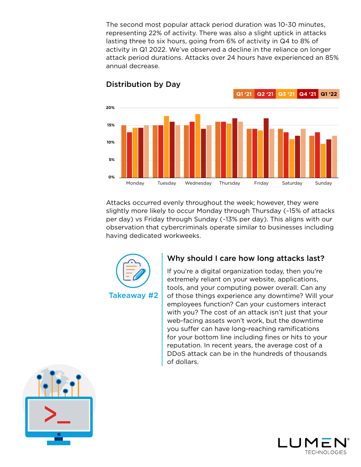The second most popular attack period duration was 10-30 minutes, representing 22% of activity. There was also a slight uptick in attacks lasting three to six hours, going from 6% of activity in Q4 to 8% of activity in Q1 2022. We've observed a decline in the reliance on longer attack period durations. Attacks over 24 hours have experienced an 85% annual decrease.



#### Distribution by Day

Attacks occurred evenly throughout the week; however, they were slightly more likely to occur Monday through Thursday (~15% of attacks per day) vs Friday through Sunday (~13% per day). This aligns with our observation that cybercriminals operate similar to businesses including having dedicated workweeks.



#### Why should I care how long attacks last?

If you're a digital organization today, then you're extremely reliant on your website, applications, tools, and your computing power overall. Can any of those things experience any downtime? Will your employees function? Can your customers interact with you? The cost of an attack isn't just that your web-facing assets won't work, but the downtime you suffer can have long-reaching ramifications for your bottom line including fines or hits to your reputation. In recent years, the average cost of a DDoS attack can be in the hundreds of thousands of dollars.



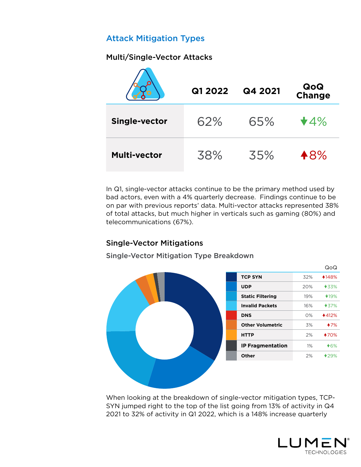### <span id="page-11-0"></span>Attack Mitigation Types

#### Multi/Single-Vector Attacks

|                      | Q1 2022 | Q4 2021 | QoQ<br>Change |
|----------------------|---------|---------|---------------|
| <b>Single-vector</b> | 62%     | 65%     | $\bigstar$ 4% |
| <b>Multi-vector</b>  | 38%     | 35%     | 48%           |

In Q1, single-vector attacks continue to be the primary method used by bad actors, even with a 4% quarterly decrease. Findings continue to be on par with previous reports' data. Multi-vector attacks represented 38% of total attacks, but much higher in verticals such as gaming (80%) and telecommunications (67%).

#### Single-Vector Mitigations

Single-Vector Mitigation Type Breakdown



When looking at the breakdown of single-vector mitigation types, TCP-SYN jumped right to the top of the list going from 13% of activity in Q4 2021 to 32% of activity in Q1 2022, which is a 148% increase quarterly

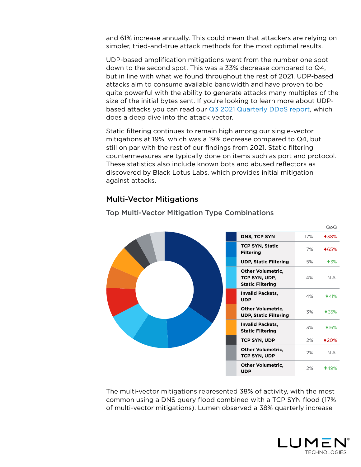and 61% increase annually. This could mean that attackers are relying on simpler, tried-and-true attack methods for the most optimal results.

UDP-based amplification mitigations went from the number one spot down to the second spot. This was a 33% decrease compared to Q4, but in line with what we found throughout the rest of 2021. UDP-based attacks aim to consume available bandwidth and have proven to be quite powerful with the ability to generate attacks many multiples of the size of the initial bytes sent. If you're looking to learn more about UDPbased attacks you can read our [Q3 2021 Quarterly DDoS report,](https://assets.lumen.com/is/content/Lumen/lumen-quarterly-ddos-report-q3-2021?Creativeid=d88bc7ef-622d-4701-8e12-5e0a7ae94cdb) which does a deep dive into the attack vector.

Static filtering continues to remain high among our single-vector mitigations at 19%, which was a 19% decrease compared to Q4, but still on par with the rest of our findings from 2021. Static filtering countermeasures are typically done on items such as port and protocol. These statistics also include known bots and abused reflectors as discovered by Black Lotus Labs, which provides initial mitigation against attacks.

#### Multi-Vector Mitigations

| DNS, TCP SYN                                                         | 17% | <b>438%</b> |
|----------------------------------------------------------------------|-----|-------------|
| <b>TCP SYN, Static</b><br><b>Filtering</b>                           | 7%  | <b>465%</b> |
| <b>UDP, Static Filtering</b>                                         | 5%  | $\star$ 3%  |
| <b>Other Volumetric,</b><br>TCP SYN, UDP,<br><b>Static Filtering</b> | 4%  | N.A.        |
| <b>Invalid Packets,</b><br><b>UDP</b>                                | 4%  | $\star$ 41% |
| <b>Other Volumetric,</b><br><b>UDP, Static Filtering</b>             | 3%  | $\star$ 35% |
| <b>Invalid Packets,</b><br><b>Static Filtering</b>                   | 3%  | $*16%$      |
| <b>TCP SYN, UDP</b>                                                  | 2%  | <b>420%</b> |
| <b>Other Volumetric,</b><br><b>TCP SYN, UDP</b>                      | 2%  | N.A.        |
| <b>Other Volumetric,</b><br><b>UDP</b>                               | 2%  | $*49%$      |

#### Top Multi-Vector Mitigation Type Combinations

The multi-vector mitigations represented 38% of activity, with the most common using a DNS query flood combined with a TCP SYN flood (17% of multi-vector mitigations). Lumen observed a 38% quarterly increase



QoQ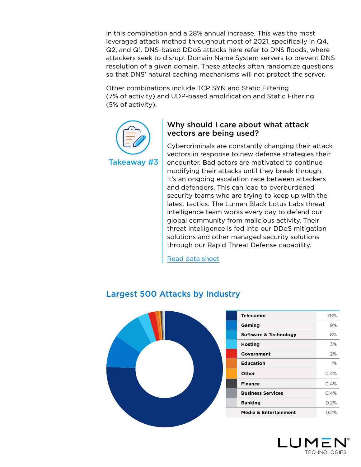in this combination and a 28% annual increase. This was the most leveraged attack method throughout most of 2021, specifically in Q4, Q2, and Q1. DNS-based DDoS attacks here refer to DNS floods, where attackers seek to disrupt Domain Name System servers to prevent DNS resolution of a given domain. These attacks often randomize questions so that DNS' natural caching mechanisms will not protect the server.

Other combinations include TCP SYN and Static Filtering (7% of activity) and UDP-based amplification and Static Filtering (5% of activity).



#### Why should I care about what attack vectors are being used?

Cybercriminals are constantly changing their attack vectors in response to new defense strategies their encounter. Bad actors are motivated to continue modifying their attacks until they break through. It's an ongoing escalation race between attackers and defenders. This can lead to overburdened security teams who are trying to keep up with the latest tactics. The Lumen Black Lotus Labs threat intelligence team works every day to defend our global community from malicious activity. Their threat intelligence is fed into our DDoS mitigation solutions and other managed security solutions through our Rapid Threat Defense capability.

[Read data sheet](https://assets.lumen.com/is/content/Lumen/ddos-rtd-rapid-threat-defense-datasheetpdf?Creativeid=030f722a-017d-414f-a56c-517804bc03f9)



#### <span id="page-13-0"></span>Largest 500 Attacks by Industry

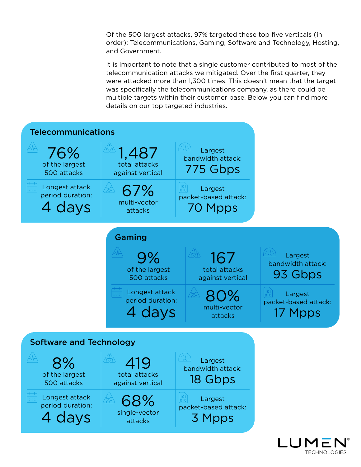Of the 500 largest attacks, 97% targeted these top five verticals (in order): Telecommunications, Gaming, Software and Technology, Hosting, and Government.

It is important to note that a single customer contributed to most of the telecommunication attacks we mitigated. Over the first quarter, they were attacked more than 1,300 times. This doesn't mean that the target was specifically the telecommunications company, as there could be multiple targets within their customer base. Below you can find more details on our top targeted industries.

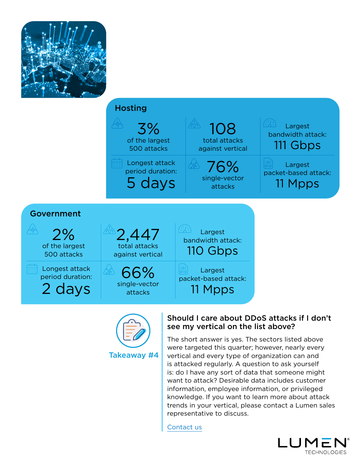





#### Should I care about DDoS attacks if I don't see my vertical on the list above?

The short answer is yes. The sectors listed above were targeted this quarter; however, nearly every vertical and every type of organization can and is attacked regularly. A question to ask yourself is: do I have any sort of data that someone might want to attack? Desirable data includes customer information, employee information, or privileged knowledge. If you want to learn more about attack trends in your vertical, please contact a Lumen sales representative to discuss.

[Contact us](https://www.lumen.com/en-us/contact-us.html)

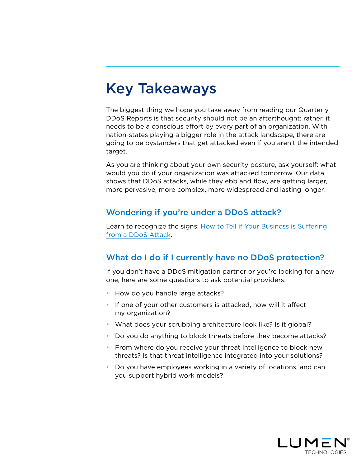### <span id="page-16-0"></span>Key Takeaways

The biggest thing we hope you take away from reading our Quarterly DDoS Reports is that security should not be an afterthought; rather, it needs to be a conscious effort by every part of an organization. With nation-states playing a bigger role in the attack landscape, there are going to be bystanders that get attacked even if you aren't the intended target.

As you are thinking about your own security posture, ask yourself: what would you do if your organization was attacked tomorrow. Our data shows that DDoS attacks, while they ebb and flow, are getting larger, more pervasive, more complex, more widespread and lasting longer.

#### Wondering if you're under a DDoS attack?

Learn to recognize the signs: [How to Tell if Your Business is Suffering](https://blog.lumen.com/how-to-tell-if-your-business-is-suffering-from-a-ddos-attack/?utm_source=ddos+report&utm_medium=referral&utm_campaign=q1+2022)  [from a DDoS Attack.](https://blog.lumen.com/how-to-tell-if-your-business-is-suffering-from-a-ddos-attack/?utm_source=ddos+report&utm_medium=referral&utm_campaign=q1+2022)

#### What do I do if I currently have no DDoS protection?

If you don't have a DDoS mitigation partner or you're looking for a new one, here are some questions to ask potential providers:

- How do you handle large attacks?
- If one of your other customers is attacked, how will it affect my organization?
- What does your scrubbing architecture look like? Is it global?
- Do you do anything to block threats before they become attacks?
- From where do you receive your threat intelligence to block new threats? Is that threat intelligence integrated into your solutions?
- Do you have employees working in a variety of locations, and can you support hybrid work models?

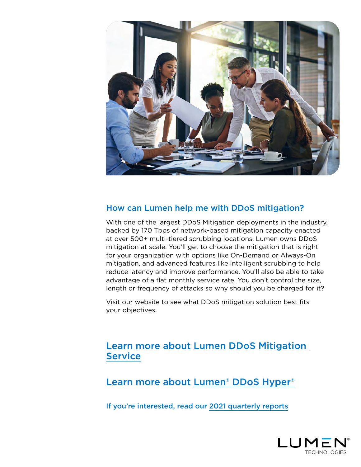

#### How can Lumen help me with DDoS mitigation?

With one of the largest DDoS Mitigation deployments in the industry, backed by 170 Tbps of network-based mitigation capacity enacted at over 500+ multi-tiered scrubbing locations, Lumen owns DDoS mitigation at scale. You'll get to choose the mitigation that is right for your organization with options like On-Demand or Always-On mitigation, and advanced features like intelligent scrubbing to help reduce latency and improve performance. You'll also be able to take advantage of a flat monthly service rate. You don't control the size, length or frequency of attacks so why should you be charged for it?

Visit our website to see what DDoS mitigation solution best fits your objectives.

#### [Learn more about Lumen DDoS Mitigation](https://www.lumen.com/en-us/security/ddos-and-web-application.html?utm_source=referral&utm_medium=DDoS+quarterly+report&utm_campaign=q1+2022)  **[Service](https://www.lumen.com/en-us/security/ddos-and-web-application.html?utm_source=referral&utm_medium=DDoS+quarterly+report&utm_campaign=q1+2022)**

[Learn more about Lumen® DDoS Hyper®](https://www.lumen.com/en-us/security/ddos-hyper.html?utm_source=referral&utm_medium=DDoS+quarterly+report&utm_campaign=q1+2022)

[If you're interested, read our 2021 quarterly reports](https://blog.lumen.com/tag/ddos-quarterly-reports/?utm_source=referral&utm_medium=DDoS+quarterly+report&utm_campaign=q1+2022)